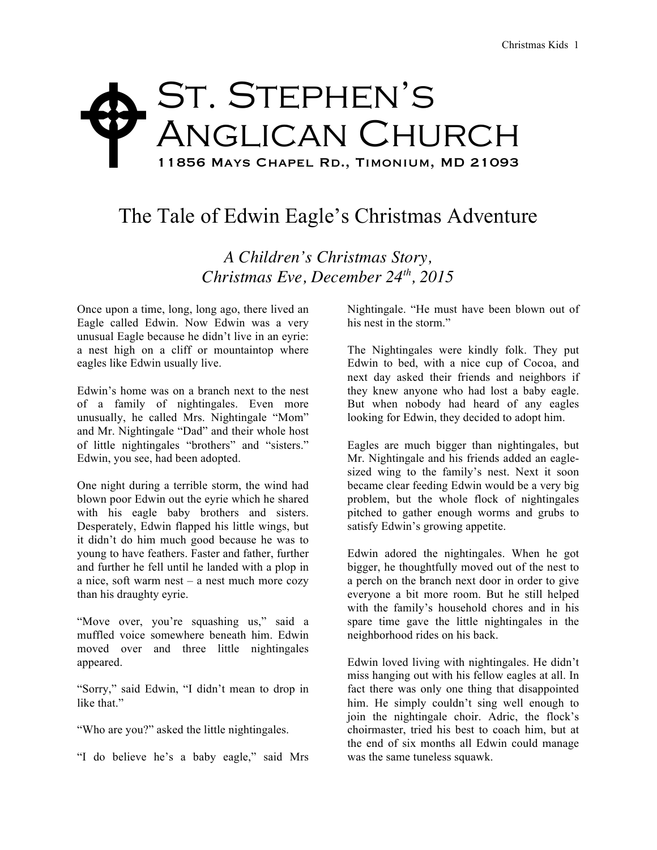## St. Stephen's ANGLICAN CHURCH 11856 Mays Chapel Rd., Timonium, MD 21093  $\blacklozenge$

## The Tale of Edwin Eagle's Christmas Adventure

*A Children's Christmas Story, Christmas Eve, December 24th, 2015*

Once upon a time, long, long ago, there lived an Eagle called Edwin. Now Edwin was a very unusual Eagle because he didn't live in an eyrie: a nest high on a cliff or mountaintop where eagles like Edwin usually live.

Edwin's home was on a branch next to the nest of a family of nightingales. Even more unusually, he called Mrs. Nightingale "Mom" and Mr. Nightingale "Dad" and their whole host of little nightingales "brothers" and "sisters." Edwin, you see, had been adopted.

One night during a terrible storm, the wind had blown poor Edwin out the eyrie which he shared with his eagle baby brothers and sisters. Desperately, Edwin flapped his little wings, but it didn't do him much good because he was to young to have feathers. Faster and father, further and further he fell until he landed with a plop in a nice, soft warm nest – a nest much more cozy than his draughty eyrie.

"Move over, you're squashing us," said a muffled voice somewhere beneath him. Edwin moved over and three little nightingales appeared.

"Sorry," said Edwin, "I didn't mean to drop in like that."

"Who are you?" asked the little nightingales.

"I do believe he's a baby eagle," said Mrs

Nightingale. "He must have been blown out of his nest in the storm."

The Nightingales were kindly folk. They put Edwin to bed, with a nice cup of Cocoa, and next day asked their friends and neighbors if they knew anyone who had lost a baby eagle. But when nobody had heard of any eagles looking for Edwin, they decided to adopt him.

Eagles are much bigger than nightingales, but Mr. Nightingale and his friends added an eaglesized wing to the family's nest. Next it soon became clear feeding Edwin would be a very big problem, but the whole flock of nightingales pitched to gather enough worms and grubs to satisfy Edwin's growing appetite.

Edwin adored the nightingales. When he got bigger, he thoughtfully moved out of the nest to a perch on the branch next door in order to give everyone a bit more room. But he still helped with the family's household chores and in his spare time gave the little nightingales in the neighborhood rides on his back.

Edwin loved living with nightingales. He didn't miss hanging out with his fellow eagles at all. In fact there was only one thing that disappointed him. He simply couldn't sing well enough to join the nightingale choir. Adric, the flock's choirmaster, tried his best to coach him, but at the end of six months all Edwin could manage was the same tuneless squawk.